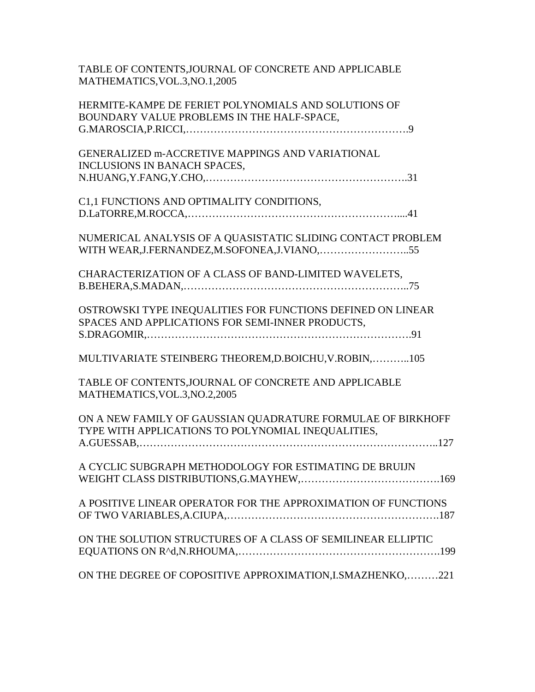| TABLE OF CONTENTS, JOURNAL OF CONCRETE AND APPLICABLE<br>MATHEMATICS, VOL.3, NO.1, 2005                           |
|-------------------------------------------------------------------------------------------------------------------|
| HERMITE-KAMPE DE FERIET POLYNOMIALS AND SOLUTIONS OF<br>BOUNDARY VALUE PROBLEMS IN THE HALF-SPACE,                |
|                                                                                                                   |
| GENERALIZED m-ACCRETIVE MAPPINGS AND VARIATIONAL                                                                  |
| INCLUSIONS IN BANACH SPACES,                                                                                      |
| C1,1 FUNCTIONS AND OPTIMALITY CONDITIONS,                                                                         |
|                                                                                                                   |
| NUMERICAL ANALYSIS OF A QUASISTATIC SLIDING CONTACT PROBLEM                                                       |
| CHARACTERIZATION OF A CLASS OF BAND-LIMITED WAVELETS,                                                             |
| OSTROWSKI TYPE INEQUALITIES FOR FUNCTIONS DEFINED ON LINEAR<br>SPACES AND APPLICATIONS FOR SEMI-INNER PRODUCTS,   |
|                                                                                                                   |
| MULTIVARIATE STEINBERG THEOREM, D.BOICHU, V.ROBIN,105                                                             |
| TABLE OF CONTENTS, JOURNAL OF CONCRETE AND APPLICABLE<br>MATHEMATICS, VOL.3, NO.2, 2005                           |
| ON A NEW FAMILY OF GAUSSIAN QUADRATURE FORMULAE OF BIRKHOFF<br>TYPE WITH APPLICATIONS TO POLYNOMIAL INEQUALITIES, |
|                                                                                                                   |
| A CYCLIC SUBGRAPH METHODOLOGY FOR ESTIMATING DE BRUIJN                                                            |
| A POSITIVE LINEAR OPERATOR FOR THE APPROXIMATION OF FUNCTIONS                                                     |
| ON THE SOLUTION STRUCTURES OF A CLASS OF SEMILINEAR ELLIPTIC                                                      |
| ON THE DEGREE OF COPOSITIVE APPROXIMATION, I. SMAZHENKO, 221                                                      |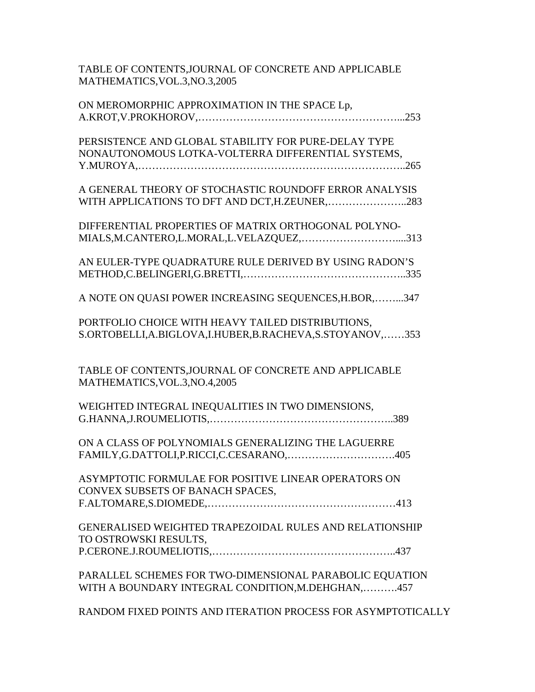| TABLE OF CONTENTS,JOURNAL OF CONCRETE AND APPLICABLE |  |
|------------------------------------------------------|--|
| MATHEMATICS,VOL.3,NO.3,2005                          |  |

| ON MEROMORPHIC APPROXIMATION IN THE SPACE Lp,                                                                 |
|---------------------------------------------------------------------------------------------------------------|
| PERSISTENCE AND GLOBAL STABILITY FOR PURE-DELAY TYPE<br>NONAUTONOMOUS LOTKA-VOLTERRA DIFFERENTIAL SYSTEMS,    |
| A GENERAL THEORY OF STOCHASTIC ROUNDOFF ERROR ANALYSIS<br>WITH APPLICATIONS TO DFT AND DCT, H.ZEUNER, 283     |
| DIFFERENTIAL PROPERTIES OF MATRIX ORTHOGONAL POLYNO-<br>MIALS, M.CANTERO, L.MORAL, L.VELAZQUEZ, 313           |
| AN EULER-TYPE QUADRATURE RULE DERIVED BY USING RADON'S                                                        |
| A NOTE ON QUASI POWER INCREASING SEQUENCES, H.BOR,    347                                                     |
| PORTFOLIO CHOICE WITH HEAVY TAILED DISTRIBUTIONS,<br>S.ORTOBELLI,A.BIGLOVA,I.HUBER,B.RACHEVA,S.STOYANOV,353   |
| TABLE OF CONTENTS, JOURNAL OF CONCRETE AND APPLICABLE<br>MATHEMATICS, VOL.3, NO.4, 2005                       |
| WEIGHTED INTEGRAL INEQUALITIES IN TWO DIMENSIONS,                                                             |
| ON A CLASS OF POLYNOMIALS GENERALIZING THE LAGUERRE                                                           |
| ASYMPTOTIC FORMULAE FOR POSITIVE LINEAR OPERATORS ON<br>CONVEX SUBSETS OF BANACH SPACES,                      |
| <b>GENERALISED WEIGHTED TRAPEZOIDAL RULES AND RELATIONSHIP</b><br>TO OSTROWSKI RESULTS,                       |
| PARALLEL SCHEMES FOR TWO-DIMENSIONAL PARABOLIC EQUATION<br>WITH A BOUNDARY INTEGRAL CONDITION, M.DEHGHAN, 457 |
| RANDOM FIXED POINTS AND ITERATION PROCESS FOR ASYMPTOTICALLY                                                  |